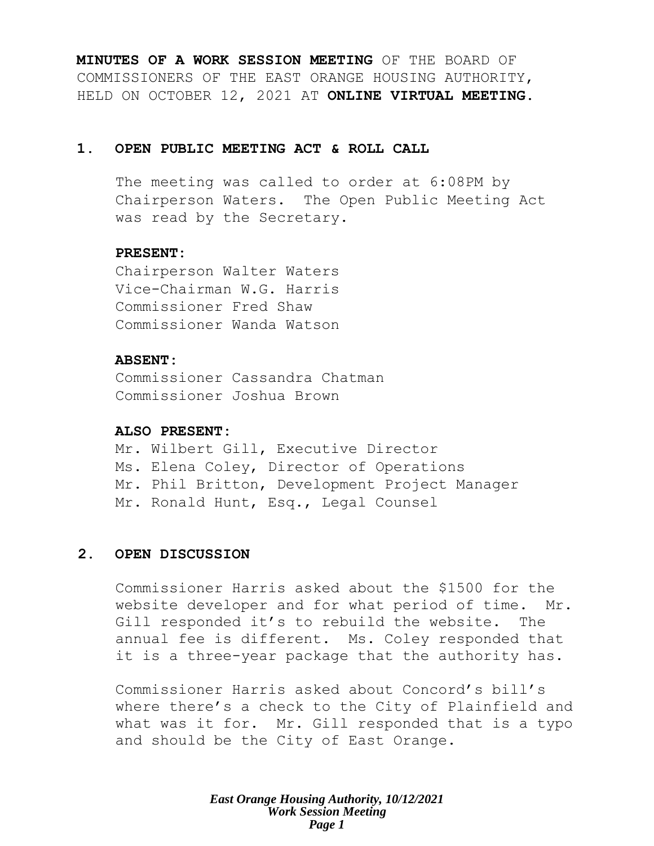**MINUTES OF A WORK SESSION MEETING** OF THE BOARD OF COMMISSIONERS OF THE EAST ORANGE HOUSING AUTHORITY, HELD ON OCTOBER 12, 2021 AT **ONLINE VIRTUAL MEETING**.

## **1. OPEN PUBLIC MEETING ACT & ROLL CALL**

The meeting was called to order at 6:08PM by Chairperson Waters. The Open Public Meeting Act was read by the Secretary.

## **PRESENT:**

Chairperson Walter Waters Vice-Chairman W.G. Harris Commissioner Fred Shaw Commissioner Wanda Watson

## **ABSENT:**

Commissioner Cassandra Chatman Commissioner Joshua Brown

#### **ALSO PRESENT:**

Mr. Wilbert Gill, Executive Director Ms. Elena Coley, Director of Operations Mr. Phil Britton, Development Project Manager Mr. Ronald Hunt, Esq., Legal Counsel

## **2. OPEN DISCUSSION**

Commissioner Harris asked about the \$1500 for the website developer and for what period of time. Mr. Gill responded it's to rebuild the website. The annual fee is different. Ms. Coley responded that it is a three-year package that the authority has.

Commissioner Harris asked about Concord's bill's where there's a check to the City of Plainfield and what was it for. Mr. Gill responded that is a typo and should be the City of East Orange.

> *East Orange Housing Authority, 10/12/2021 Work Session Meeting Page 1*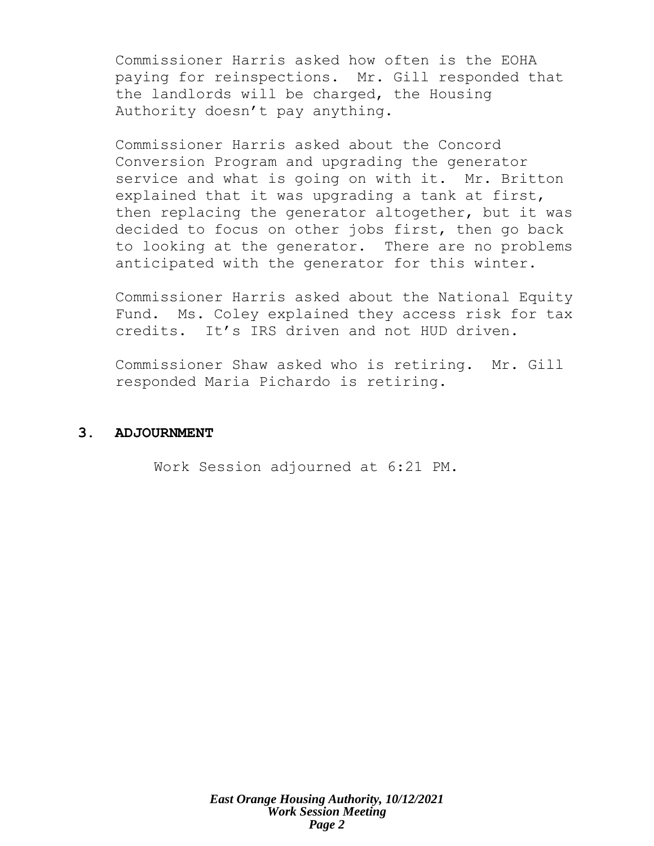Commissioner Harris asked how often is the EOHA paying for reinspections. Mr. Gill responded that the landlords will be charged, the Housing Authority doesn't pay anything.

Commissioner Harris asked about the Concord Conversion Program and upgrading the generator service and what is going on with it. Mr. Britton explained that it was upgrading a tank at first, then replacing the generator altogether, but it was decided to focus on other jobs first, then go back to looking at the generator. There are no problems anticipated with the generator for this winter.

Commissioner Harris asked about the National Equity Fund. Ms. Coley explained they access risk for tax credits. It's IRS driven and not HUD driven.

Commissioner Shaw asked who is retiring. Mr. Gill responded Maria Pichardo is retiring.

## **3. ADJOURNMENT**

Work Session adjourned at 6:21 PM.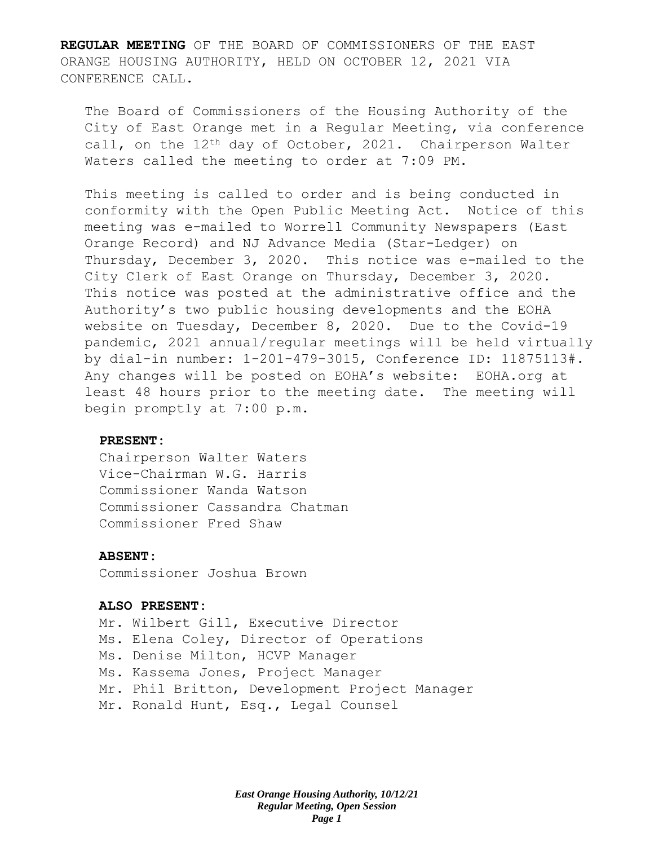**REGULAR MEETING** OF THE BOARD OF COMMISSIONERS OF THE EAST ORANGE HOUSING AUTHORITY, HELD ON OCTOBER 12, 2021 VIA CONFERENCE CALL.

The Board of Commissioners of the Housing Authority of the City of East Orange met in a Regular Meeting, via conference call, on the 12<sup>th</sup> day of October, 2021. Chairperson Walter Waters called the meeting to order at 7:09 PM.

This meeting is called to order and is being conducted in conformity with the Open Public Meeting Act. Notice of this meeting was e-mailed to Worrell Community Newspapers (East Orange Record) and NJ Advance Media (Star-Ledger) on Thursday, December 3, 2020. This notice was e-mailed to the City Clerk of East Orange on Thursday, December 3, 2020. This notice was posted at the administrative office and the Authority's two public housing developments and the EOHA website on Tuesday, December 8, 2020. Due to the Covid-19 pandemic, 2021 annual/regular meetings will be held virtually by dial-in number: 1-201-479-3015, Conference ID: 11875113#. Any changes will be posted on EOHA's website: EOHA.org at least 48 hours prior to the meeting date. The meeting will begin promptly at 7:00 p.m.

#### **PRESENT:**

Chairperson Walter Waters Vice-Chairman W.G. Harris Commissioner Wanda Watson Commissioner Cassandra Chatman Commissioner Fred Shaw

#### **ABSENT:**

Commissioner Joshua Brown

#### **ALSO PRESENT:**

Mr. Wilbert Gill, Executive Director Ms. Elena Coley, Director of Operations Ms. Denise Milton, HCVP Manager Ms. Kassema Jones, Project Manager Mr. Phil Britton, Development Project Manager Mr. Ronald Hunt, Esq., Legal Counsel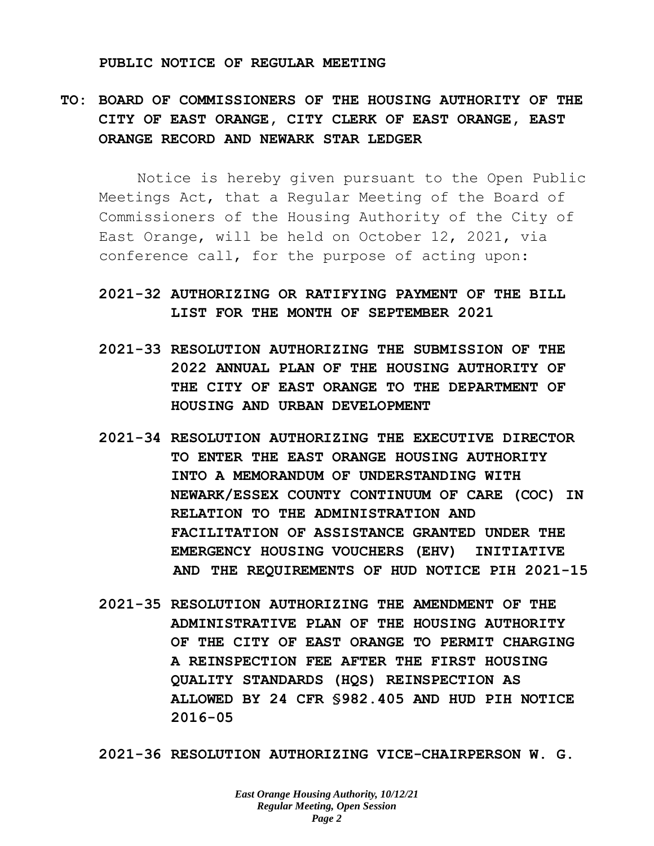#### **PUBLIC NOTICE OF REGULAR MEETING**

# **TO: BOARD OF COMMISSIONERS OF THE HOUSING AUTHORITY OF THE CITY OF EAST ORANGE, CITY CLERK OF EAST ORANGE, EAST ORANGE RECORD AND NEWARK STAR LEDGER**

Notice is hereby given pursuant to the Open Public Meetings Act, that a Regular Meeting of the Board of Commissioners of the Housing Authority of the City of East Orange, will be held on October 12, 2021, via conference call, for the purpose of acting upon:

# **2021-32 AUTHORIZING OR RATIFYING PAYMENT OF THE BILL LIST FOR THE MONTH OF SEPTEMBER 2021**

- **2021-33 RESOLUTION AUTHORIZING THE SUBMISSION OF THE 2022 ANNUAL PLAN OF THE HOUSING AUTHORITY OF THE CITY OF EAST ORANGE TO THE DEPARTMENT OF HOUSING AND URBAN DEVELOPMENT**
- **2021-34 RESOLUTION AUTHORIZING THE EXECUTIVE DIRECTOR TO ENTER THE EAST ORANGE HOUSING AUTHORITY INTO A MEMORANDUM OF UNDERSTANDING WITH NEWARK/ESSEX COUNTY CONTINUUM OF CARE (COC) IN RELATION TO THE ADMINISTRATION AND FACILITATION OF ASSISTANCE GRANTED UNDER THE EMERGENCY HOUSING VOUCHERS (EHV) INITIATIVE AND THE REQUIREMENTS OF HUD NOTICE PIH 2021-15**
- **2021-35 RESOLUTION AUTHORIZING THE AMENDMENT OF THE ADMINISTRATIVE PLAN OF THE HOUSING AUTHORITY OF THE CITY OF EAST ORANGE TO PERMIT CHARGING A REINSPECTION FEE AFTER THE FIRST HOUSING QUALITY STANDARDS (HQS) REINSPECTION AS ALLOWED BY 24 CFR §982.405 AND HUD PIH NOTICE 2016-05**

**2021-36 RESOLUTION AUTHORIZING VICE-CHAIRPERSON W. G.**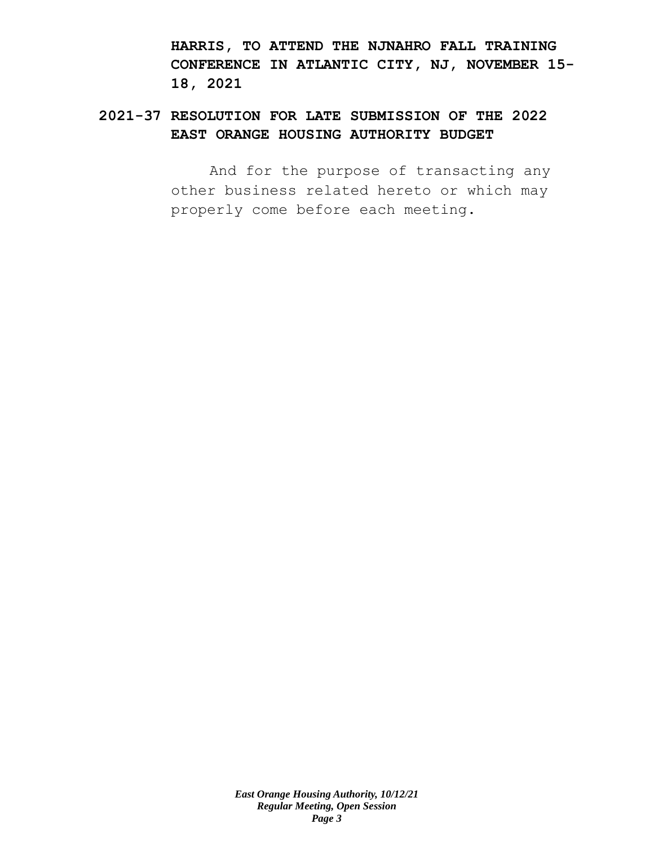**HARRIS, TO ATTEND THE NJNAHRO FALL TRAINING CONFERENCE IN ATLANTIC CITY, NJ, NOVEMBER 15- 18, 2021**

# **2021-37 RESOLUTION FOR LATE SUBMISSION OF THE 2022 EAST ORANGE HOUSING AUTHORITY BUDGET**

And for the purpose of transacting any other business related hereto or which may properly come before each meeting.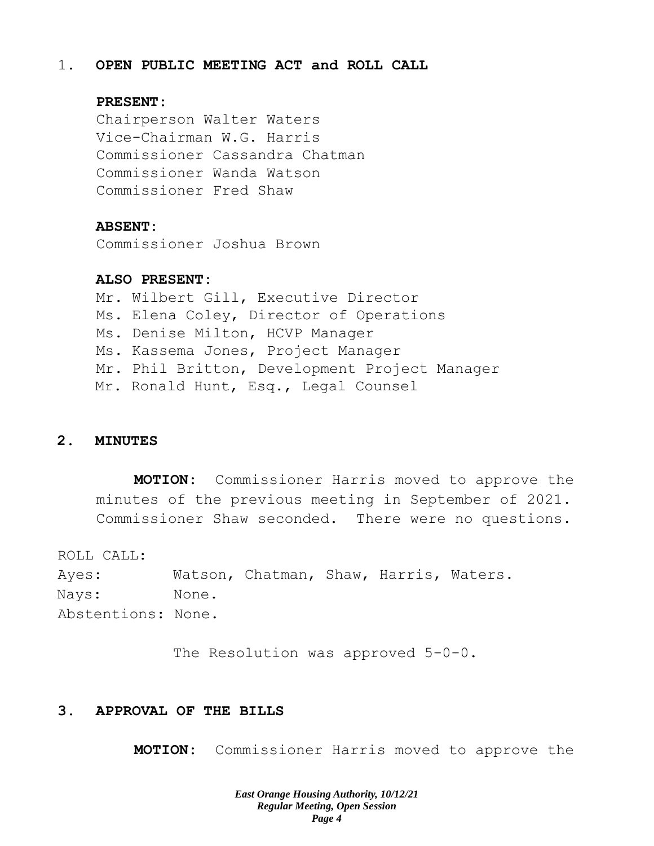#### 1. **OPEN PUBLIC MEETING ACT and ROLL CALL**

### **PRESENT:**

Chairperson Walter Waters Vice-Chairman W.G. Harris Commissioner Cassandra Chatman Commissioner Wanda Watson Commissioner Fred Shaw

#### **ABSENT:**

Commissioner Joshua Brown

## **ALSO PRESENT:**

Mr. Wilbert Gill, Executive Director Ms. Elena Coley, Director of Operations Ms. Denise Milton, HCVP Manager Ms. Kassema Jones, Project Manager Mr. Phil Britton, Development Project Manager Mr. Ronald Hunt, Esq., Legal Counsel

### **2. MINUTES**

**MOTION:** Commissioner Harris moved to approve the minutes of the previous meeting in September of 2021. Commissioner Shaw seconded. There were no questions.

ROLL CALL:

Ayes: Watson, Chatman, Shaw, Harris, Waters. Nays: None. Abstentions: None.

The Resolution was approved 5-0-0.

## **3. APPROVAL OF THE BILLS**

**MOTION:** Commissioner Harris moved to approve the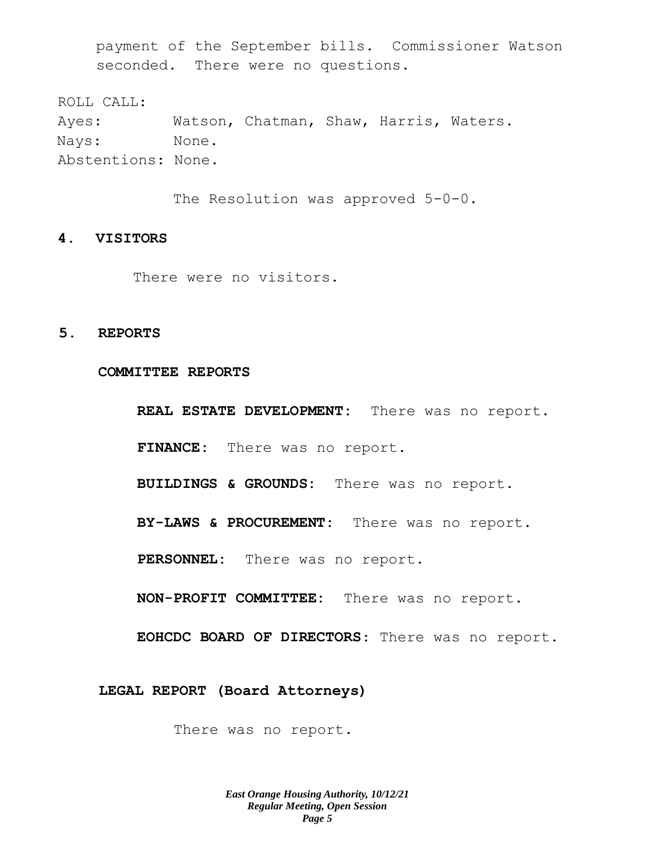payment of the September bills. Commissioner Watson seconded. There were no questions.

ROLL CALL: Ayes: Watson, Chatman, Shaw, Harris, Waters. Nays: None. Abstentions: None.

The Resolution was approved 5-0-0.

#### **4. VISITORS**

There were no visitors.

### **5. REPORTS**

**COMMITTEE REPORTS**

**REAL ESTATE DEVELOPMENT:** There was no report.

**FINANCE:** There was no report.

**BUILDINGS & GROUNDS:** There was no report.

**BY-LAWS & PROCUREMENT:** There was no report.

**PERSONNEL:** There was no report.

**NON-PROFIT COMMITTEE:** There was no report.

**EOHCDC BOARD OF DIRECTORS**: There was no report.

**LEGAL REPORT (Board Attorneys)**

There was no report.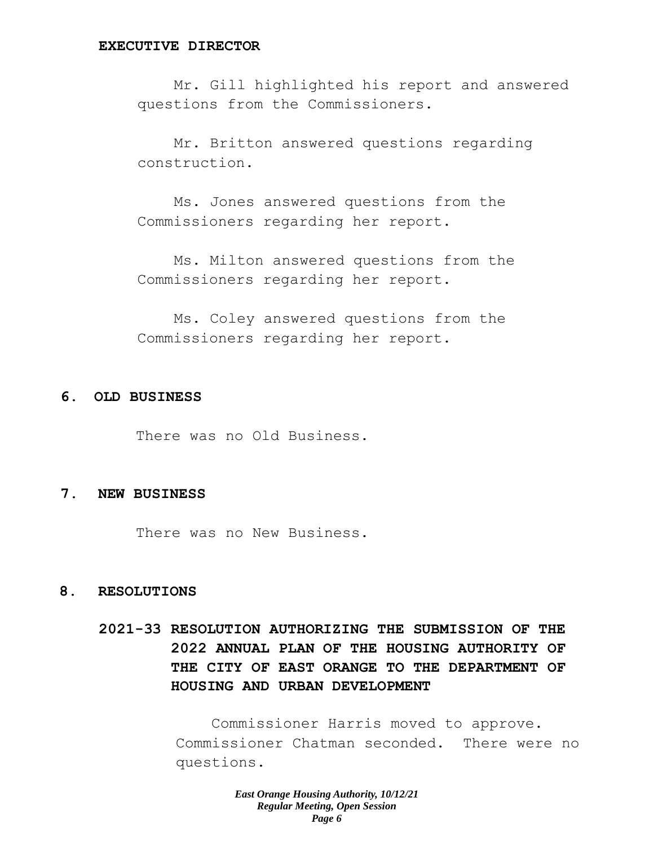#### **EXECUTIVE DIRECTOR**

Mr. Gill highlighted his report and answered questions from the Commissioners.

Mr. Britton answered questions regarding construction.

Ms. Jones answered questions from the Commissioners regarding her report.

Ms. Milton answered questions from the Commissioners regarding her report.

Ms. Coley answered questions from the Commissioners regarding her report.

## **6. OLD BUSINESS**

There was no Old Business.

#### **7. NEW BUSINESS**

There was no New Business.

#### **8. RESOLUTIONS**

**2021-33 RESOLUTION AUTHORIZING THE SUBMISSION OF THE 2022 ANNUAL PLAN OF THE HOUSING AUTHORITY OF THE CITY OF EAST ORANGE TO THE DEPARTMENT OF HOUSING AND URBAN DEVELOPMENT**

> Commissioner Harris moved to approve. Commissioner Chatman seconded. There were no questions.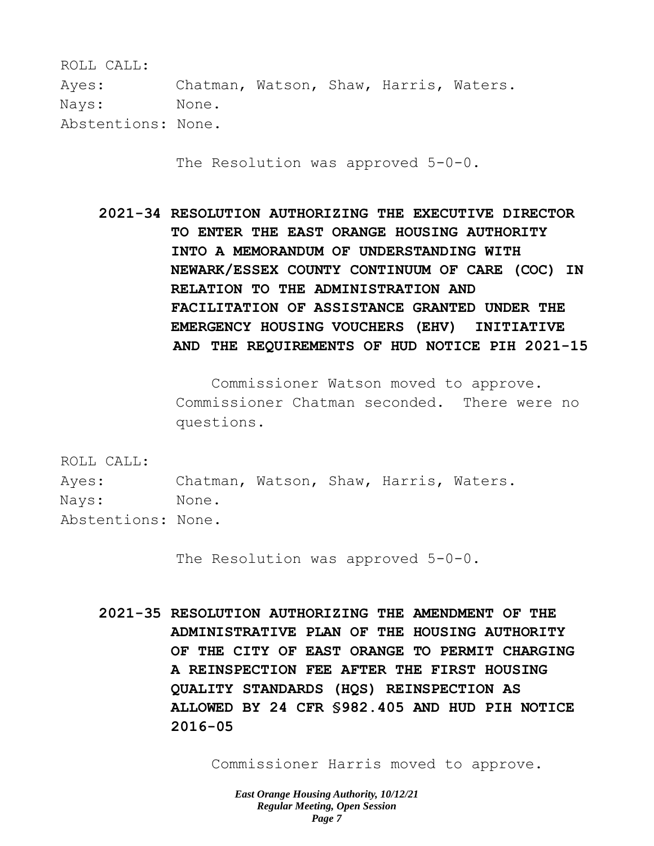ROLL CALL: Ayes: Chatman, Watson, Shaw, Harris, Waters. Nays: None. Abstentions: None.

The Resolution was approved 5-0-0.

**2021-34 RESOLUTION AUTHORIZING THE EXECUTIVE DIRECTOR TO ENTER THE EAST ORANGE HOUSING AUTHORITY INTO A MEMORANDUM OF UNDERSTANDING WITH NEWARK/ESSEX COUNTY CONTINUUM OF CARE (COC) IN RELATION TO THE ADMINISTRATION AND FACILITATION OF ASSISTANCE GRANTED UNDER THE EMERGENCY HOUSING VOUCHERS (EHV) INITIATIVE AND THE REQUIREMENTS OF HUD NOTICE PIH 2021-15** 

> Commissioner Watson moved to approve. Commissioner Chatman seconded. There were no questions.

ROLL CALL:

Ayes: Chatman, Watson, Shaw, Harris, Waters. Nays: None. Abstentions: None.

The Resolution was approved 5-0-0.

**2021-35 RESOLUTION AUTHORIZING THE AMENDMENT OF THE ADMINISTRATIVE PLAN OF THE HOUSING AUTHORITY OF THE CITY OF EAST ORANGE TO PERMIT CHARGING A REINSPECTION FEE AFTER THE FIRST HOUSING QUALITY STANDARDS (HQS) REINSPECTION AS ALLOWED BY 24 CFR §982.405 AND HUD PIH NOTICE 2016-05** 

Commissioner Harris moved to approve.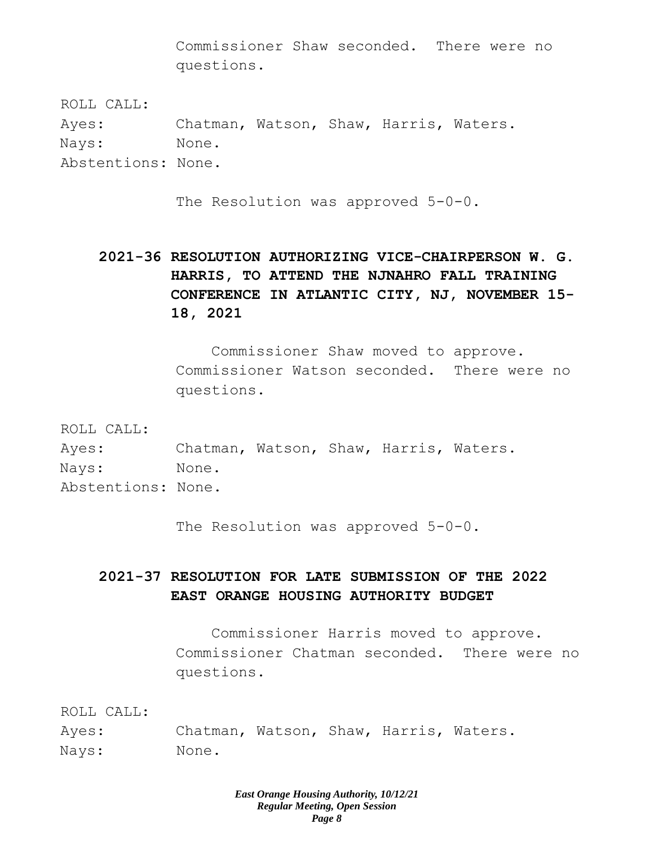Commissioner Shaw seconded. There were no questions.

ROLL CALL: Ayes: Chatman, Watson, Shaw, Harris, Waters. Nays: None. Abstentions: None.

The Resolution was approved 5-0-0.

**2021-36 RESOLUTION AUTHORIZING VICE-CHAIRPERSON W. G. HARRIS, TO ATTEND THE NJNAHRO FALL TRAINING CONFERENCE IN ATLANTIC CITY, NJ, NOVEMBER 15- 18, 2021** 

> Commissioner Shaw moved to approve. Commissioner Watson seconded. There were no questions.

ROLL CALL:

Ayes: Chatman, Watson, Shaw, Harris, Waters. Nays: None. Abstentions: None.

The Resolution was approved 5-0-0.

# **2021-37 RESOLUTION FOR LATE SUBMISSION OF THE 2022 EAST ORANGE HOUSING AUTHORITY BUDGET**

Commissioner Harris moved to approve. Commissioner Chatman seconded. There were no questions.

ROLL CALL:

Ayes: Chatman, Watson, Shaw, Harris, Waters. Nays: None.